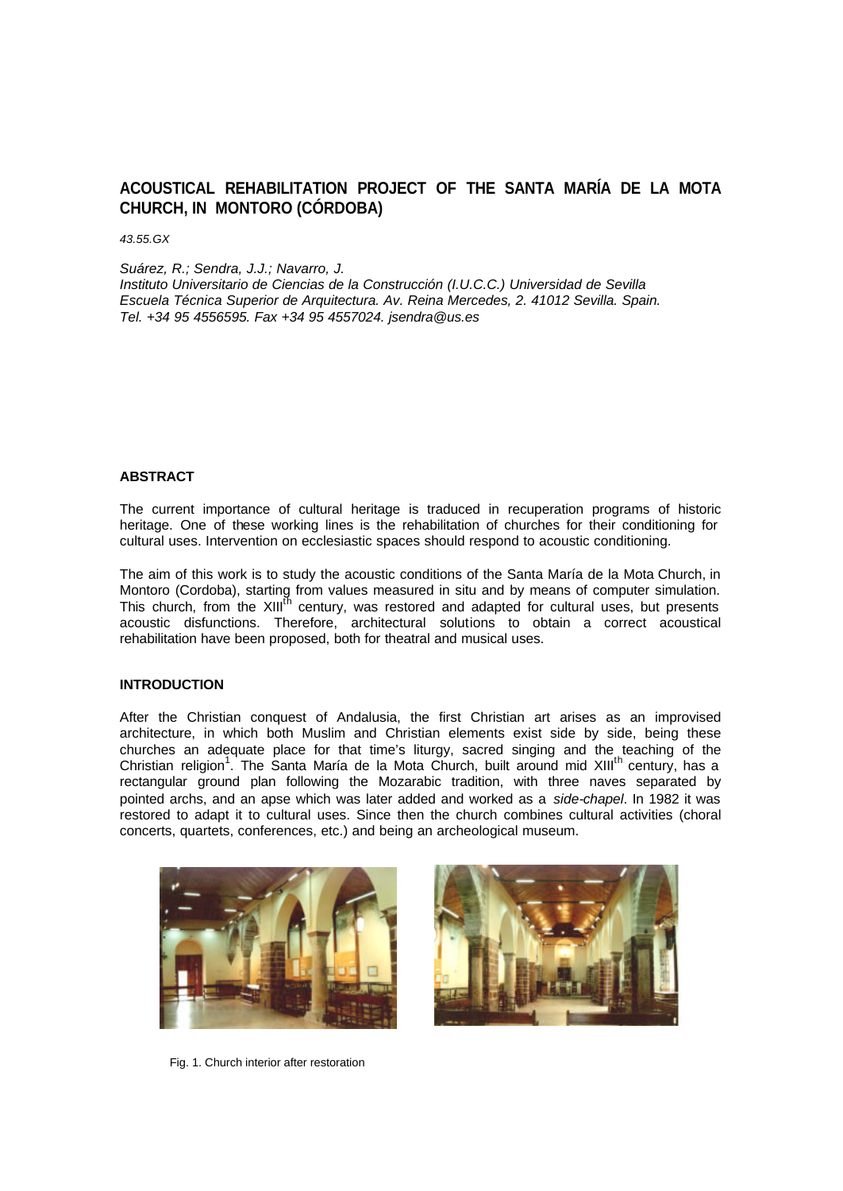# **ACOUSTICAL REHABILITATION PROJECT OF THE SANTA MARÍA DE LA MOTA CHURCH, IN MONTORO (CÓRDOBA)**

*43.55.GX*

*Suárez, R.; Sendra, J.J.; Navarro, J.*

*Instituto Universitario de Ciencias de la Construcción (I.U.C.C.) Universidad de Sevilla Escuela Técnica Superior de Arquitectura. Av. Reina Mercedes, 2. 41012 Sevilla. Spain. Tel. +34 95 4556595. Fax +34 95 4557024. jsendra@us.es*

# **ABSTRACT**

The current importance of cultural heritage is traduced in recuperation programs of historic heritage. One of these working lines is the rehabilitation of churches for their conditioning for cultural uses. Intervention on ecclesiastic spaces should respond to acoustic conditioning.

The aim of this work is to study the acoustic conditions of the Santa María de la Mota Church, in Montoro (Cordoba), starting from values measured in situ and by means of computer simulation. This church, from the XIII<sup>th</sup> century, was restored and adapted for cultural uses, but presents acoustic disfunctions. Therefore, architectural solutions to obtain a correct acoustical rehabilitation have been proposed, both for theatral and musical uses.

## **INTRODUCTION**

After the Christian conquest of Andalusia, the first Christian art arises as an improvised architecture, in which both Muslim and Christian elements exist side by side, being these churches an adequate place for that time's liturgy, sacred singing and the teaching of the Christian religion<sup>1</sup>. The Santa María de la Mota Church, built around mid XIII<sup>th</sup> century, has a rectangular ground plan following the Mozarabic tradition, with three naves separated by pointed archs, and an apse which was later added and worked as a *side-chapel*. In 1982 it was restored to adapt it to cultural uses. Since then the church combines cultural activities (choral concerts, quartets, conferences, etc.) and being an archeological museum.





Fig. 1. Church interior after restoration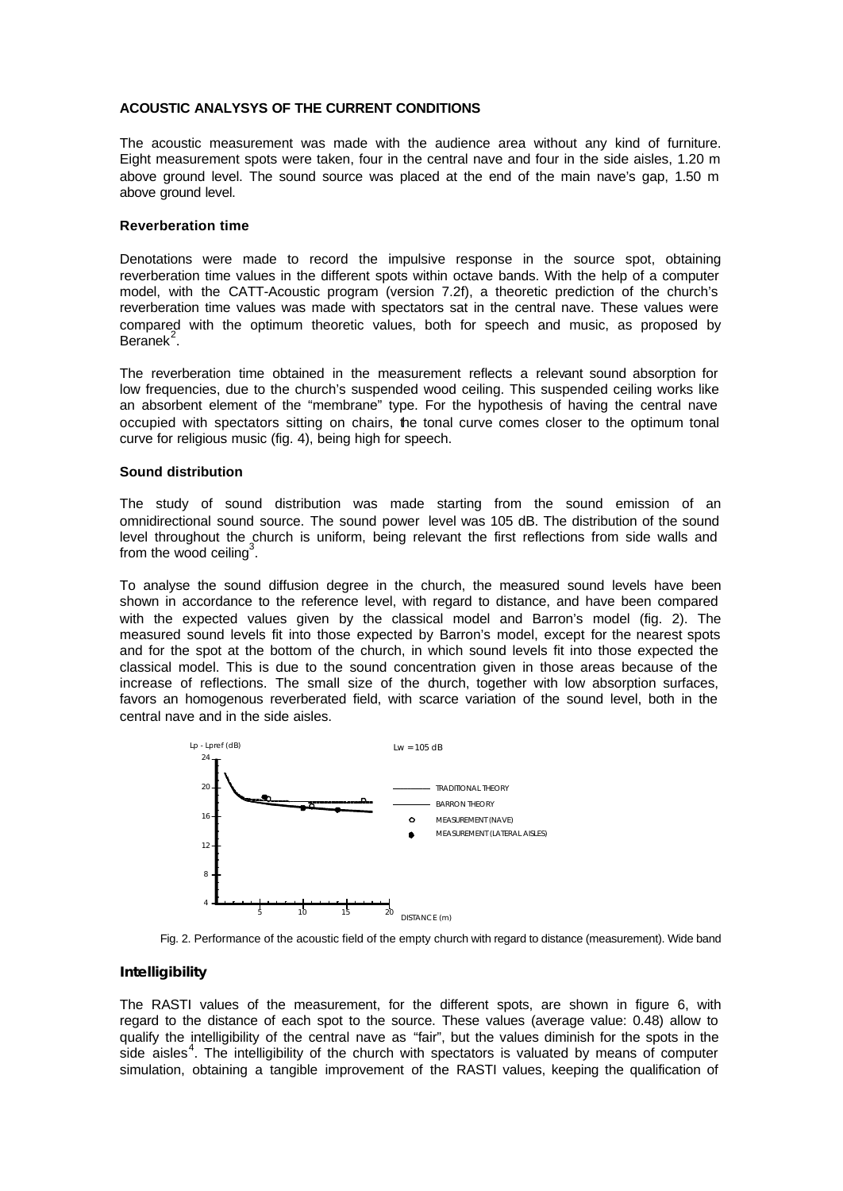# **ACOUSTIC ANALYSYS OF THE CURRENT CONDITIONS**

The acoustic measurement was made with the audience area without any kind of furniture. Eight measurement spots were taken, four in the central nave and four in the side aisles, 1.20 m above ground level. The sound source was placed at the end of the main nave's gap, 1.50 m above ground level.

### **Reverberation time**

Denotations were made to record the impulsive response in the source spot, obtaining reverberation time values in the different spots within octave bands. With the help of a computer model, with the CATT-Acoustic program (version 7.2f), a theoretic prediction of the church's reverberation time values was made with spectators sat in the central nave. These values were compared with the optimum theoretic values, both for speech and music, as proposed by  $B$ eranek $^2$ .

The reverberation time obtained in the measurement reflects a relevant sound absorption for low frequencies, due to the church's suspended wood ceiling. This suspended ceiling works like an absorbent element of the "membrane" type. For the hypothesis of having the central nave occupied with spectators sitting on chairs, the tonal curve comes closer to the optimum tonal curve for religious music (fig. 4), being high for speech.

## **Sound distribution**

The study of sound distribution was made starting from the sound emission of an omnidirectional sound source. The sound power level was 105 dB. The distribution of the sound level throughout the church is uniform, being relevant the first reflections from side walls and from the wood ceiling<sup>3</sup>.

To analyse the sound diffusion degree in the church, the measured sound levels have been shown in accordance to the reference level, with regard to distance, and have been compared with the expected values given by the classical model and Barron's model (fig. 2). The measured sound levels fit into those expected by Barron's model, except for the nearest spots and for the spot at the bottom of the church, in which sound levels fit into those expected the classical model. This is due to the sound concentration given in those areas because of the increase of reflections. The small size of the durch, together with low absorption surfaces, favors an homogenous reverberated field, with scarce variation of the sound level, both in the central nave and in the side aisles.



Fig. 2. Performance of the acoustic field of the empty church with regard to distance (measurement). Wide band

# **Intelligibility**

The RASTI values of the measurement, for the different spots, are shown in figure 6, with regard to the distance of each spot to the source. These values (average value: 0.48) allow to qualify the intelligibility of the central nave as "fair", but the values diminish for the spots in the side aisles<sup>4</sup>. The intelligibility of the church with spectators is valuated by means of computer simulation, obtaining a tangible improvement of the RASTI values, keeping the qualification of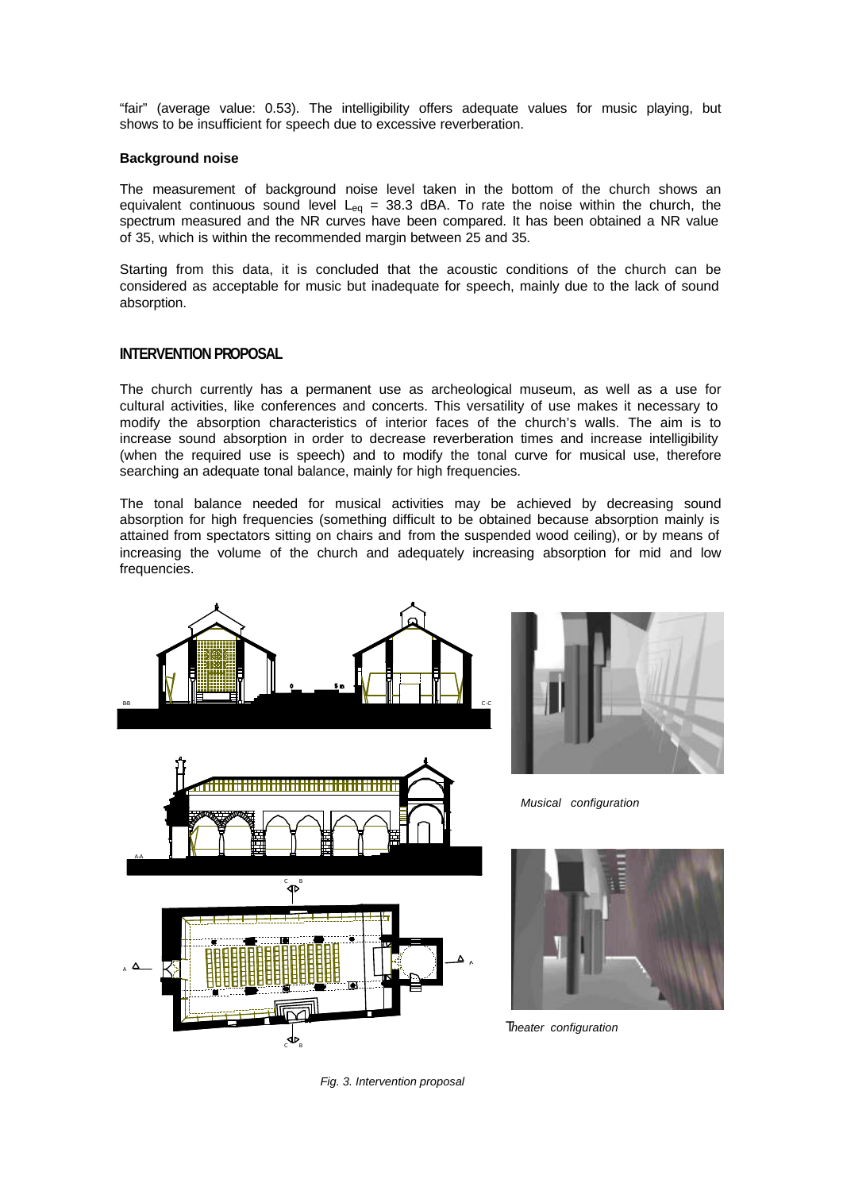"fair" (average value: 0.53). The intelligibility offers adequate values for music playing, but shows to be insufficient for speech due to excessive reverberation.

## **Background noise**

The measurement of background noise level taken in the bottom of the church shows an equivalent continuous sound level  $L_{eq}$  = 38.3 dBA. To rate the noise within the church, the spectrum measured and the NR curves have been compared. It has been obtained a NR value of 35, which is within the recommended margin between 25 and 35.

Starting from this data, it is concluded that the acoustic conditions of the church can be considered as acceptable for music but inadequate for speech, mainly due to the lack of sound absorption.

# **INTERVENTION PROPOSAL**

The church currently has a permanent use as archeological museum, as well as a use for cultural activities, like conferences and concerts. This versatility of use makes it necessary to modify the absorption characteristics of interior faces of the church's walls. The aim is to increase sound absorption in order to decrease reverberation times and increase intelligibility (when the required use is speech) and to modify the tonal curve for musical use, therefore searching an adequate tonal balance, mainly for high frequencies.

The tonal balance needed for musical activities may be achieved by decreasing sound absorption for high frequencies (something difficult to be obtained because absorption mainly is attained from spectators sitting on chairs and from the suspended wood ceiling), or by means of increasing the volume of the church and adequately increasing absorption for mid and low frequencies.







*Musical configuration*



 *Theater configuration*

*Fig. 3. Intervention proposal*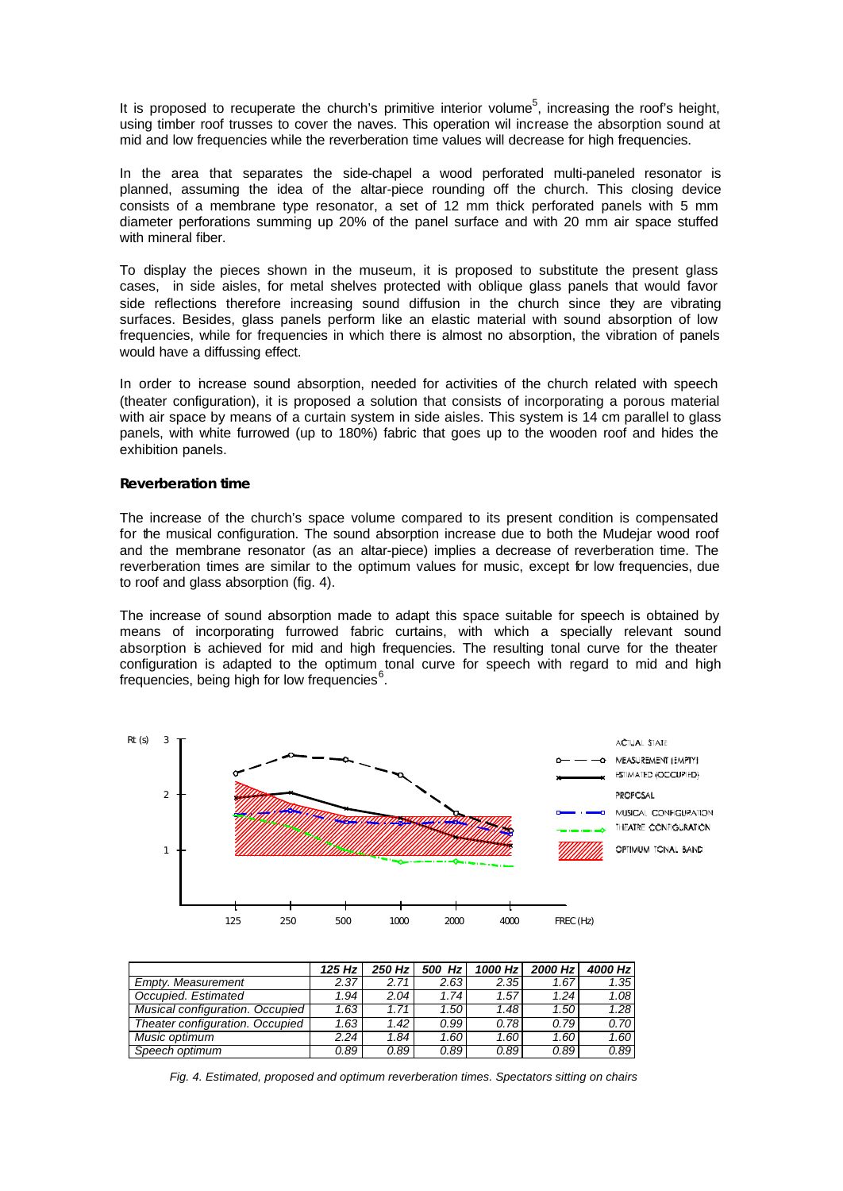It is proposed to recuperate the church's primitive interior volume<sup>5</sup>, increasing the roof's height, using timber roof trusses to cover the naves. This operation wil increase the absorption sound at mid and low frequencies while the reverberation time values will decrease for high frequencies.

In the area that separates the side-chapel a wood perforated multi-paneled resonator is planned, assuming the idea of the altar-piece rounding off the church. This closing device consists of a membrane type resonator, a set of 12 mm thick perforated panels with 5 mm diameter perforations summing up 20% of the panel surface and with 20 mm air space stuffed with mineral fiber.

To display the pieces shown in the museum, it is proposed to substitute the present glass cases, in side aisles, for metal shelves protected with oblique glass panels that would favor side reflections therefore increasing sound diffusion in the church since they are vibrating surfaces. Besides, glass panels perform like an elastic material with sound absorption of low frequencies, while for frequencies in which there is almost no absorption, the vibration of panels would have a diffussing effect.

In order to increase sound absorption, needed for activities of the church related with speech (theater configuration), it is proposed a solution that consists of incorporating a porous material with air space by means of a curtain system in side aisles. This system is 14 cm parallel to glass panels, with white furrowed (up to 180%) fabric that goes up to the wooden roof and hides the exhibition panels.

#### **Reverberation time**

The increase of the church's space volume compared to its present condition is compensated for the musical configuration. The sound absorption increase due to both the Mudejar wood roof and the membrane resonator (as an altar-piece) implies a decrease of reverberation time. The reverberation times are similar to the optimum values for music, except for low frequencies, due to roof and glass absorption (fig. 4).

The increase of sound absorption made to adapt this space suitable for speech is obtained by means of incorporating furrowed fabric curtains, with which a specially relevant sound absorption is achieved for mid and high frequencies. The resulting tonal curve for the theater configuration is adapted to the optimum tonal curve for speech with regard to mid and high frequencies, being high for low frequencies<sup>6</sup> .



|                                 | 125 Hz $\vert$ | 250 Hz | Hzl<br>500 | 1000 Hz | 2000 Hz | 4000 Hz |
|---------------------------------|----------------|--------|------------|---------|---------|---------|
| Empty, Measurement              | 2.37           | 2.71   | 2.63       | 2.35    | 1.67    | 1.35    |
| Occupied, Estimated             | 1.94           | 2.04   | 1.74       | 1.57    | 1.24    | 1.08    |
| Musical configuration. Occupied | 1.63           | 1.71   | 1.50       | 1.48    | 1.50    | 1.28    |
| Theater configuration. Occupied | 1.63           | 1.42   | 0.99       | 0.78    | 0.79    | 0.70    |
| Music optimum                   | 2.24           | 1.84.  | 1.60       | 1.60    | 1.60    | 1.60    |
| Speech optimum                  | 0.89           | 0.89   | 0.89       | 0.89    | 0.89    | 0.89    |

*Fig. 4. Estimated, proposed and optimum reverberation times. Spectators sitting on chairs*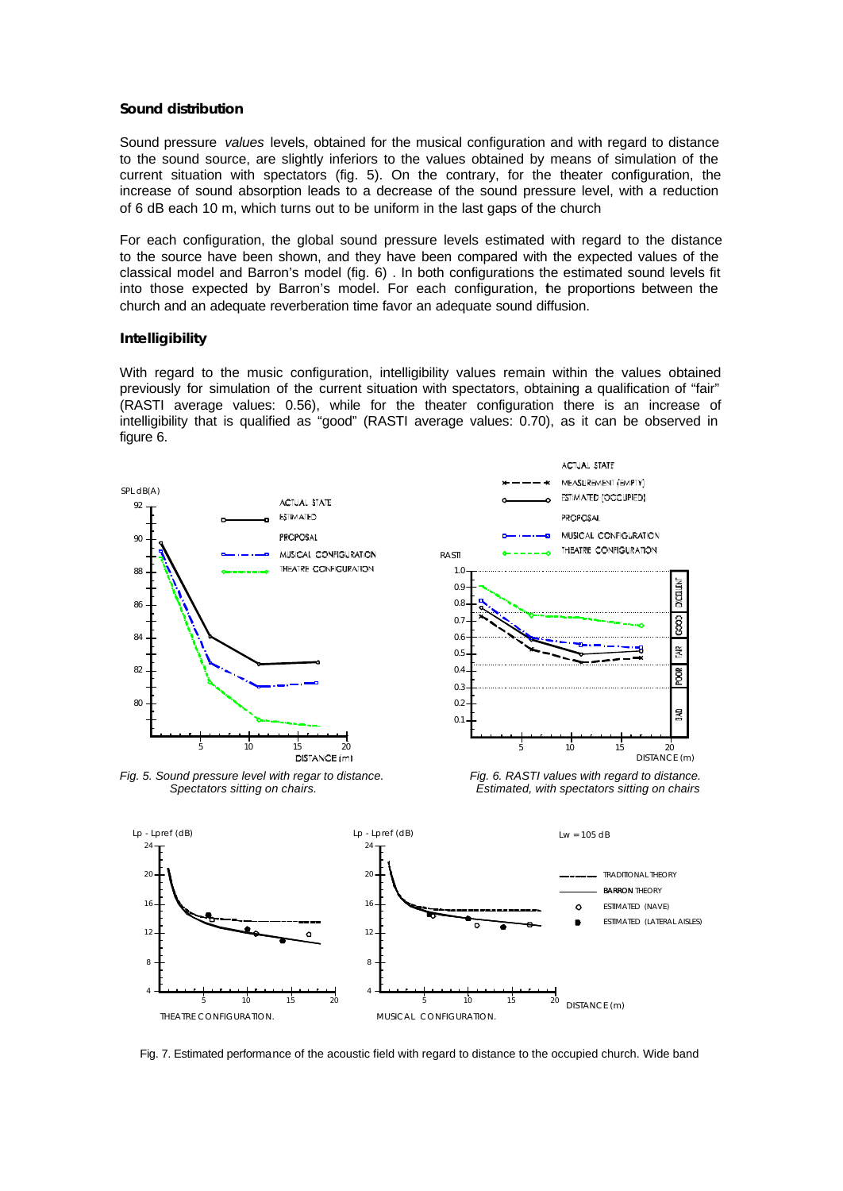## **Sound distribution**

Sound pressure *values* levels, obtained for the musical configuration and with regard to distance to the sound source, are slightly inferiors to the values obtained by means of simulation of the current situation with spectators (fig. 5). On the contrary, for the theater configuration, the increase of sound absorption leads to a decrease of the sound pressure level, with a reduction of 6 dB each 10 m, which turns out to be uniform in the last gaps of the church

For each configuration, the global sound pressure levels estimated with regard to the distance to the source have been shown, and they have been compared with the expected values of the classical model and Barron's model (fig. 6) . In both configurations the estimated sound levels fit into those expected by Barron's model. For each configuration, the proportions between the church and an adequate reverberation time favor an adequate sound diffusion.

## **Intelligibility**

With regard to the music configuration, intelligibility values remain within the values obtained previously for simulation of the current situation with spectators, obtaining a qualification of "fair" (RASTI average values: 0.56), while for the theater configuration there is an increase of intelligibility that is qualified as "good" (RASTI average values: 0.70), as it can be observed in figure 6.





Fig. 7. Estimated performance of the acoustic field with regard to distance to the occupied church. Wide band